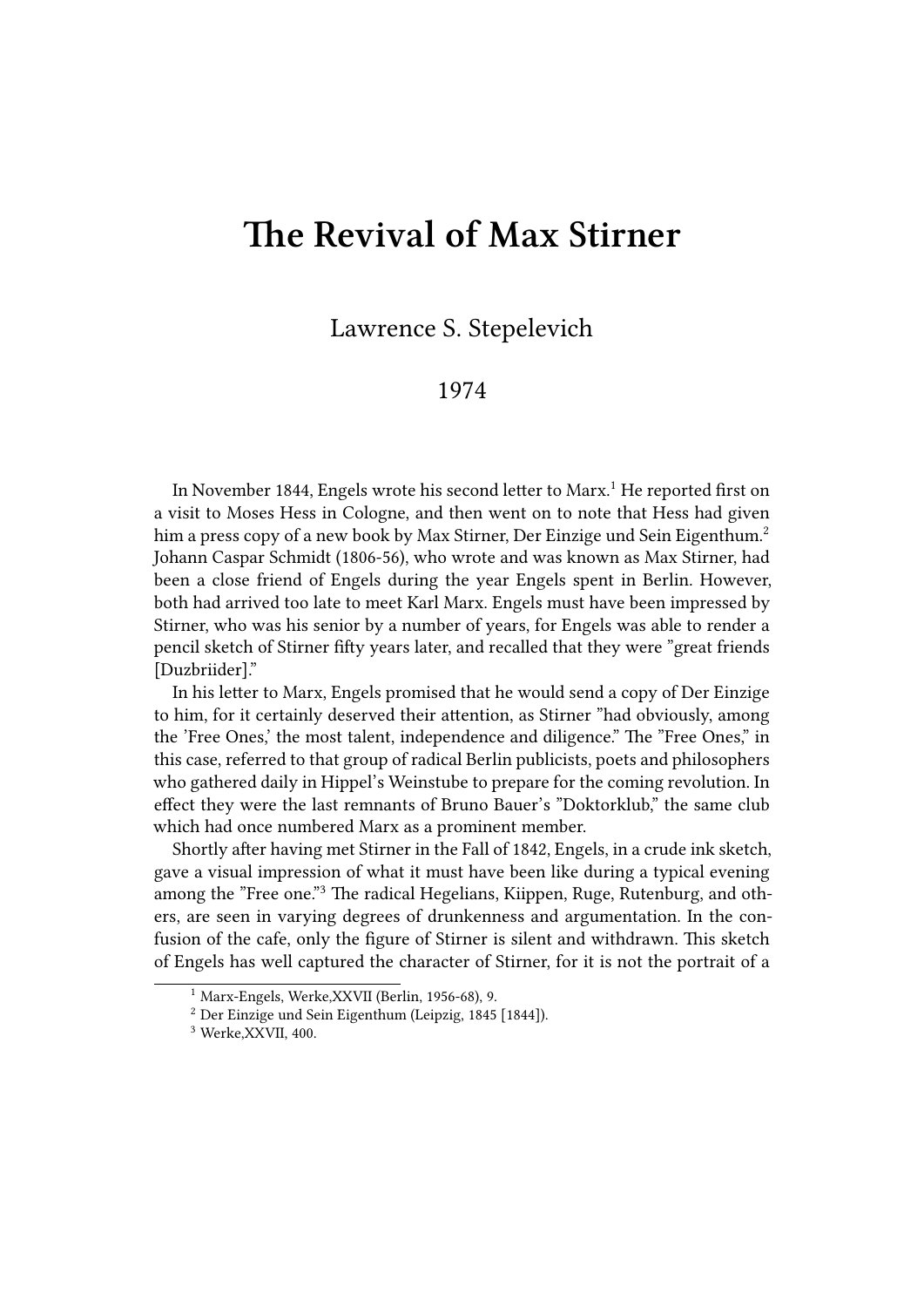## **The Revival of Max Stirner**

Lawrence S. Stepelevich

## 1974

In November 1844, Engels wrote his second letter to Marx.<sup>1</sup> He reported first on a visit to Moses Hess in Cologne, and then went on to note that Hess had given him a press copy of a new book by Max Stirner, Der Einzige und Sein Eigenthum.<sup>2</sup> Johann Caspar Schmidt (1806-56), who wrote and was known as Max Stirner, had been a close friend of Engels during the year Engels spent in Berlin. However, both had arrived too late to meet Karl Marx. Engels must have been impressed by Stirner, who was his senior by a number of years, for Engels was able to render a pencil sketch of Stirner fifty years later, and recalled that they were "great friends [Duzbriider]."

In his letter to Marx, Engels promised that he would send a copy of Der Einzige to him, for it certainly deserved their attention, as Stirner "had obviously, among the 'Free Ones,' the most talent, independence and diligence." The "Free Ones," in this case, referred to that group of radical Berlin publicists, poets and philosophers who gathered daily in Hippel's Weinstube to prepare for the coming revolution. In effect they were the last remnants of Bruno Bauer's "Doktorklub," the same club which had once numbered Marx as a prominent member.

Shortly after having met Stirner in the Fall of 1842, Engels, in a crude ink sketch, gave a visual impression of what it must have been like during a typical evening among the "Free one."<sup>3</sup> The radical Hegelians, Kiippen, Ruge, Rutenburg, and others, are seen in varying degrees of drunkenness and argumentation. In the confusion of the cafe, only the figure of Stirner is silent and withdrawn. This sketch of Engels has well captured the character of Stirner, for it is not the portrait of a

<sup>1</sup> Marx-Engels, Werke,XXVII (Berlin, 1956-68), 9.

<sup>2</sup> Der Einzige und Sein Eigenthum (Leipzig, 1845 [1844]).

<sup>3</sup> Werke,XXVII, 400.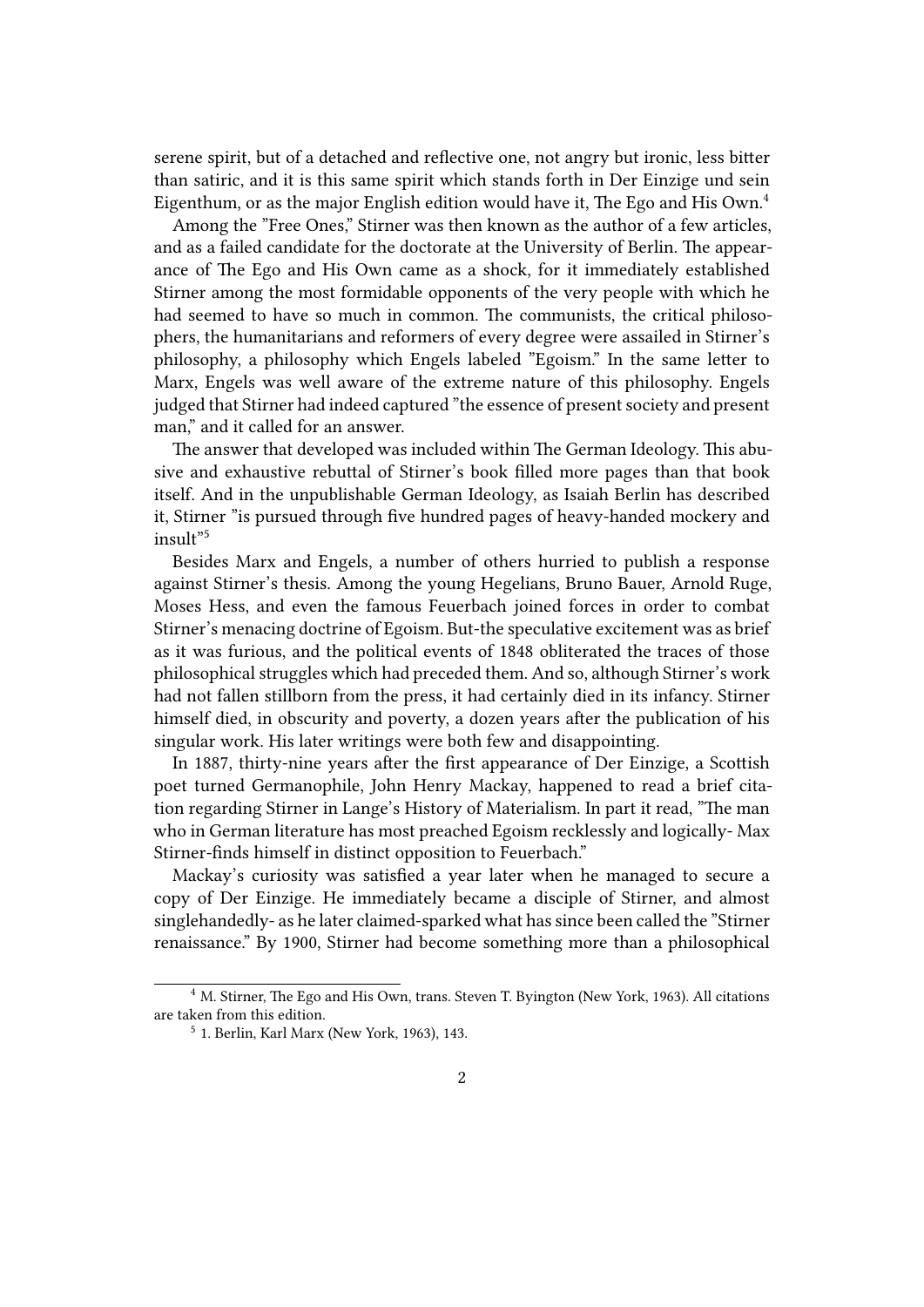serene spirit, but of a detached and reflective one, not angry but ironic, less bitter than satiric, and it is this same spirit which stands forth in Der Einzige und sein Eigenthum, or as the major English edition would have it, The Ego and His Own.<sup>4</sup>

Among the "Free Ones," Stirner was then known as the author of a few articles, and as a failed candidate for the doctorate at the University of Berlin. The appearance of The Ego and His Own came as a shock, for it immediately established Stirner among the most formidable opponents of the very people with which he had seemed to have so much in common. The communists, the critical philosophers, the humanitarians and reformers of every degree were assailed in Stirner's philosophy, a philosophy which Engels labeled "Egoism." In the same letter to Marx, Engels was well aware of the extreme nature of this philosophy. Engels judged that Stirner had indeed captured "the essence of present society and present man," and it called for an answer.

The answer that developed was included within The German Ideology. This abusive and exhaustive rebuttal of Stirner's book filled more pages than that book itself. And in the unpublishable German Ideology, as Isaiah Berlin has described it, Stirner "is pursued through five hundred pages of heavy-handed mockery and insult"<sup>5</sup>

Besides Marx and Engels, a number of others hurried to publish a response against Stirner's thesis. Among the young Hegelians, Bruno Bauer, Arnold Ruge, Moses Hess, and even the famous Feuerbach joined forces in order to combat Stirner's menacing doctrine of Egoism. But-the speculative excitement was as brief as it was furious, and the political events of 1848 obliterated the traces of those philosophical struggles which had preceded them. And so, although Stirner's work had not fallen stillborn from the press, it had certainly died in its infancy. Stirner himself died, in obscurity and poverty, a dozen years after the publication of his singular work. His later writings were both few and disappointing.

In 1887, thirty-nine years after the first appearance of Der Einzige, a Scottish poet turned Germanophile, John Henry Mackay, happened to read a brief citation regarding Stirner in Lange's History of Materialism. In part it read, "The man who in German literature has most preached Egoism recklessly and logically- Max Stirner-finds himself in distinct opposition to Feuerbach."

Mackay's curiosity was satisfied a year later when he managed to secure a copy of Der Einzige. He immediately became a disciple of Stirner, and almost singlehandedly- as he later claimed-sparked what has since been called the "Stirner renaissance." By 1900, Stirner had become something more than a philosophical

<sup>&</sup>lt;sup>4</sup> M. Stirner, The Ego and His Own, trans. Steven T. Byington (New York, 1963). All citations are taken from this edition.

<sup>5</sup> 1. Berlin, Karl Marx (New York, 1963), 143.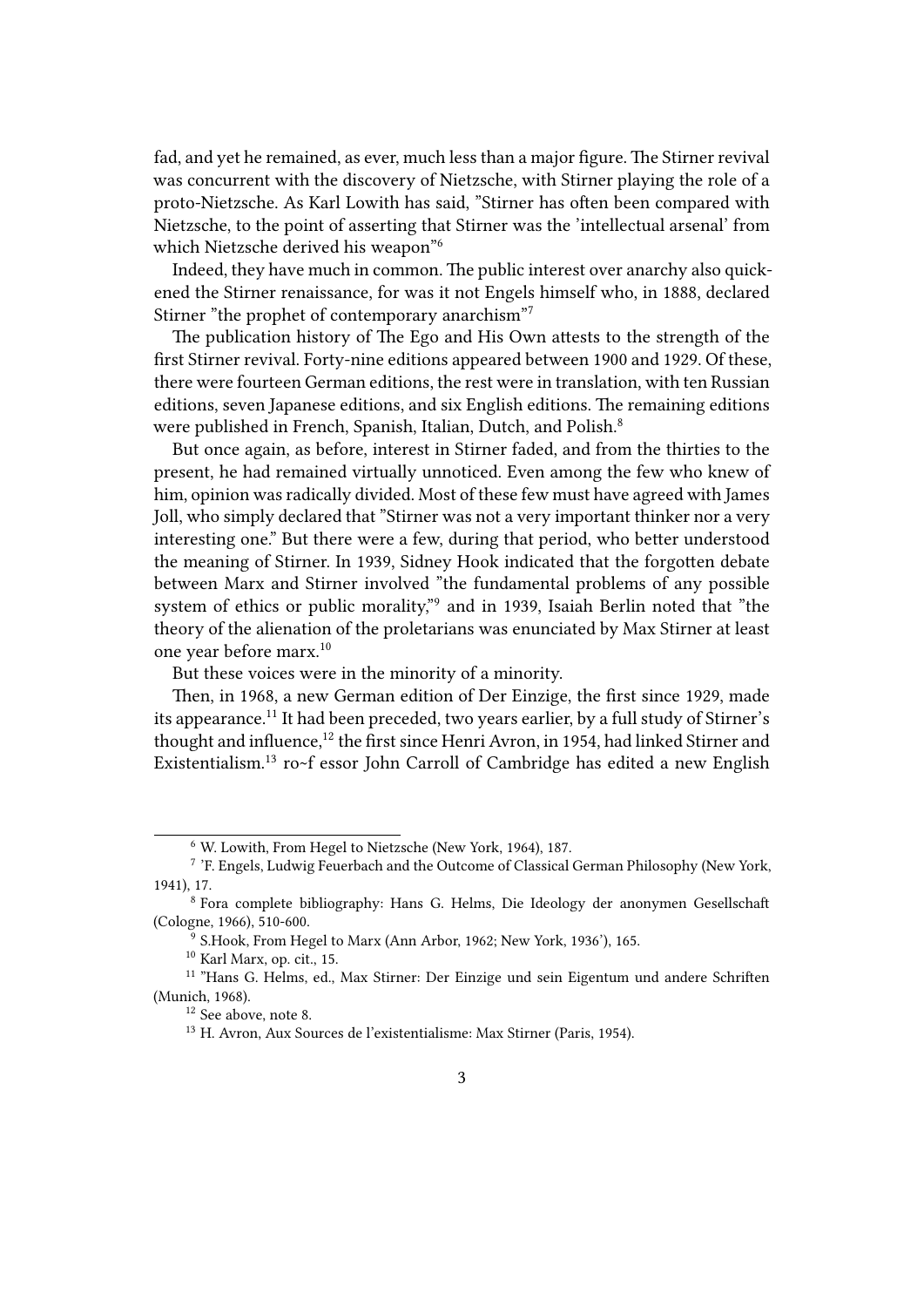fad, and yet he remained, as ever, much less than a major figure. The Stirner revival was concurrent with the discovery of Nietzsche, with Stirner playing the role of a proto-Nietzsche. As Karl Lowith has said, "Stirner has often been compared with Nietzsche, to the point of asserting that Stirner was the 'intellectual arsenal' from which Nietzsche derived his weapon"<sup>6</sup>

Indeed, they have much in common. The public interest over anarchy also quickened the Stirner renaissance, for was it not Engels himself who, in 1888, declared Stirner "the prophet of contemporary anarchism"<sup>7</sup>

The publication history of The Ego and His Own attests to the strength of the first Stirner revival. Forty-nine editions appeared between 1900 and 1929. Of these, there were fourteen German editions, the rest were in translation, with ten Russian editions, seven Japanese editions, and six English editions. The remaining editions were published in French, Spanish, Italian, Dutch, and Polish.<sup>8</sup>

But once again, as before, interest in Stirner faded, and from the thirties to the present, he had remained virtually unnoticed. Even among the few who knew of him, opinion was radically divided. Most of these few must have agreed with James Joll, who simply declared that "Stirner was not a very important thinker nor a very interesting one." But there were a few, during that period, who better understood the meaning of Stirner. In 1939, Sidney Hook indicated that the forgotten debate between Marx and Stirner involved "the fundamental problems of any possible system of ethics or public morality,"<sup>9</sup> and in 1939, Isaiah Berlin noted that "the theory of the alienation of the proletarians was enunciated by Max Stirner at least one year before marx.<sup>10</sup>

But these voices were in the minority of a minority.

Then, in 1968, a new German edition of Der Einzige, the first since 1929, made its appearance.<sup>11</sup> It had been preceded, two years earlier, by a full study of Stirner's thought and influence,<sup>12</sup> the first since Henri Avron, in 1954, had linked Stirner and Existentialism.<sup>13</sup> ro~f essor John Carroll of Cambridge has edited a new English

<sup>10</sup> Karl Marx, op. cit., 15.

<sup>6</sup> W. Lowith, From Hegel to Nietzsche (New York, 1964), 187.

<sup>&</sup>lt;sup>7</sup> 'F. Engels, Ludwig Feuerbach and the Outcome of Classical German Philosophy (New York, 1941), 17.

<sup>8</sup> Fora complete bibliography: Hans G. Helms, Die Ideology der anonymen Gesellschaft (Cologne, 1966), 510-600.

<sup>&</sup>lt;sup>9</sup> S.Hook, From Hegel to Marx (Ann Arbor, 1962; New York, 1936'), 165.

<sup>11</sup> "Hans G. Helms, ed., Max Stirner: Der Einzige und sein Eigentum und andere Schriften (Munich, 1968).

<sup>12</sup> See above, note 8.

<sup>13</sup> H. Avron, Aux Sources de l'existentialisme: Max Stirner (Paris, 1954).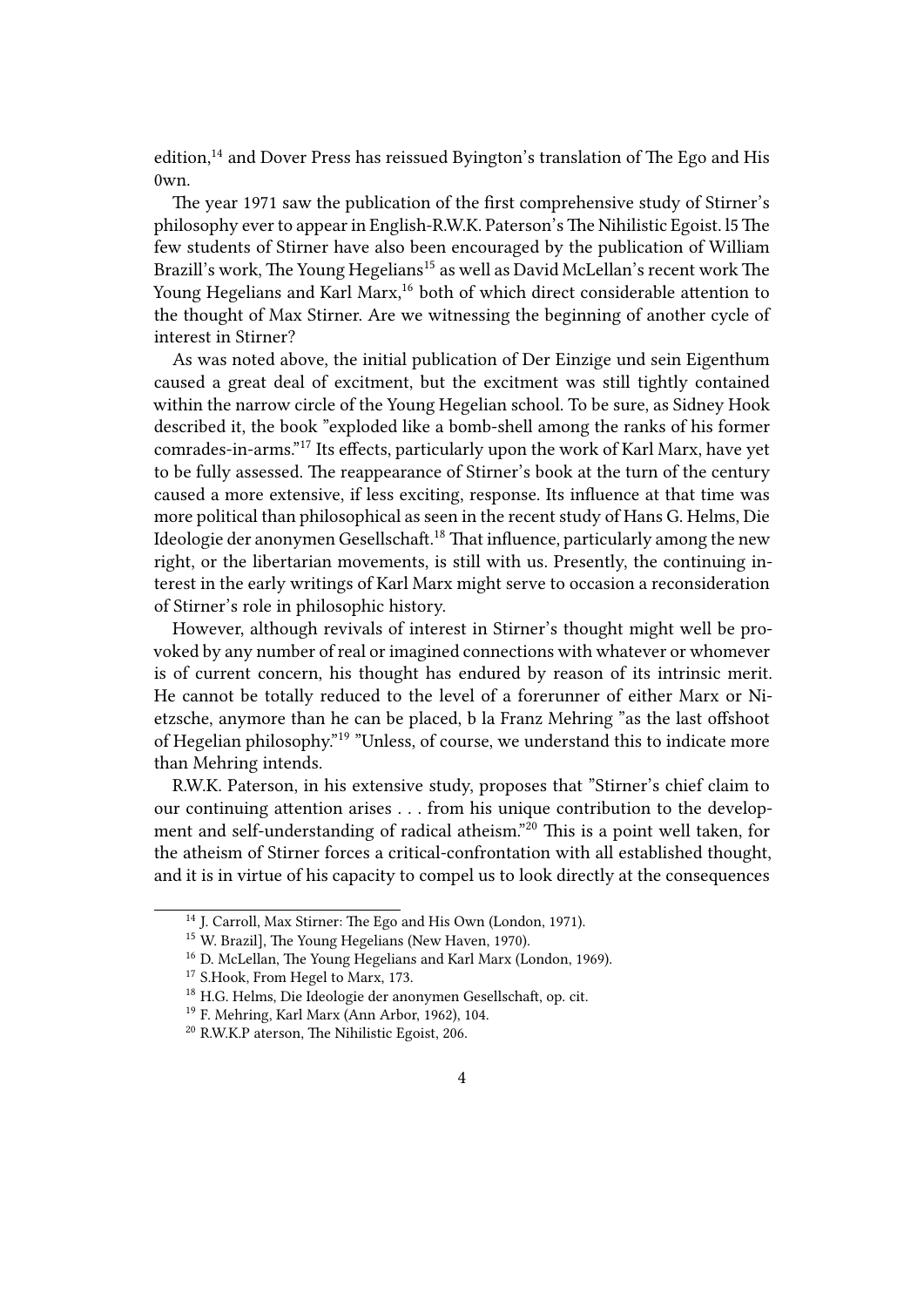edition,<sup>14</sup> and Dover Press has reissued Byington's translation of The Ego and His 0wn.

The year 1971 saw the publication of the first comprehensive study of Stirner's philosophy ever to appear in English-R.W.K. Paterson's The Nihilistic Egoist. l5 The few students of Stirner have also been encouraged by the publication of William Brazill's work, The Young Hegelians<sup>15</sup> as well as David McLellan's recent work The Young Hegelians and Karl Marx,<sup>16</sup> both of which direct considerable attention to the thought of Max Stirner. Are we witnessing the beginning of another cycle of interest in Stirner?

As was noted above, the initial publication of Der Einzige und sein Eigenthum caused a great deal of excitment, but the excitment was still tightly contained within the narrow circle of the Young Hegelian school. To be sure, as Sidney Hook described it, the book "exploded like a bomb-shell among the ranks of his former comrades-in-arms."<sup>17</sup> Its effects, particularly upon the work of Karl Marx, have yet to be fully assessed. The reappearance of Stirner's book at the turn of the century caused a more extensive, if less exciting, response. Its influence at that time was more political than philosophical as seen in the recent study of Hans G. Helms, Die Ideologie der anonymen Gesellschaft.<sup>18</sup> That influence, particularly among the new right, or the libertarian movements, is still with us. Presently, the continuing interest in the early writings of Karl Marx might serve to occasion a reconsideration of Stirner's role in philosophic history.

However, although revivals of interest in Stirner's thought might well be provoked by any number of real or imagined connections with whatever or whomever is of current concern, his thought has endured by reason of its intrinsic merit. He cannot be totally reduced to the level of a forerunner of either Marx or Nietzsche, anymore than he can be placed, b la Franz Mehring "as the last offshoot of Hegelian philosophy."<sup>19</sup> "Unless, of course, we understand this to indicate more than Mehring intends.

R.W.K. Paterson, in his extensive study, proposes that "Stirner's chief claim to our continuing attention arises . . . from his unique contribution to the development and self-understanding of radical atheism."<sup>20</sup> This is a point well taken, for the atheism of Stirner forces a critical-confrontation with all established thought, and it is in virtue of his capacity to compel us to look directly at the consequences

<sup>14</sup> J. Carroll, Max Stirner: The Ego and His Own (London, 1971).

<sup>&</sup>lt;sup>15</sup> W. Brazil], The Young Hegelians (New Haven, 1970).

<sup>16</sup> D. McLellan, The Young Hegelians and Karl Marx (London, 1969).

<sup>&</sup>lt;sup>17</sup> S.Hook, From Hegel to Marx, 173.

<sup>18</sup> H.G. Helms, Die Ideologie der anonymen Gesellschaft, op. cit.

<sup>19</sup> F. Mehring, Karl Marx (Ann Arbor, 1962), 104.

<sup>20</sup> R.W.K.P aterson, The Nihilistic Egoist, 206.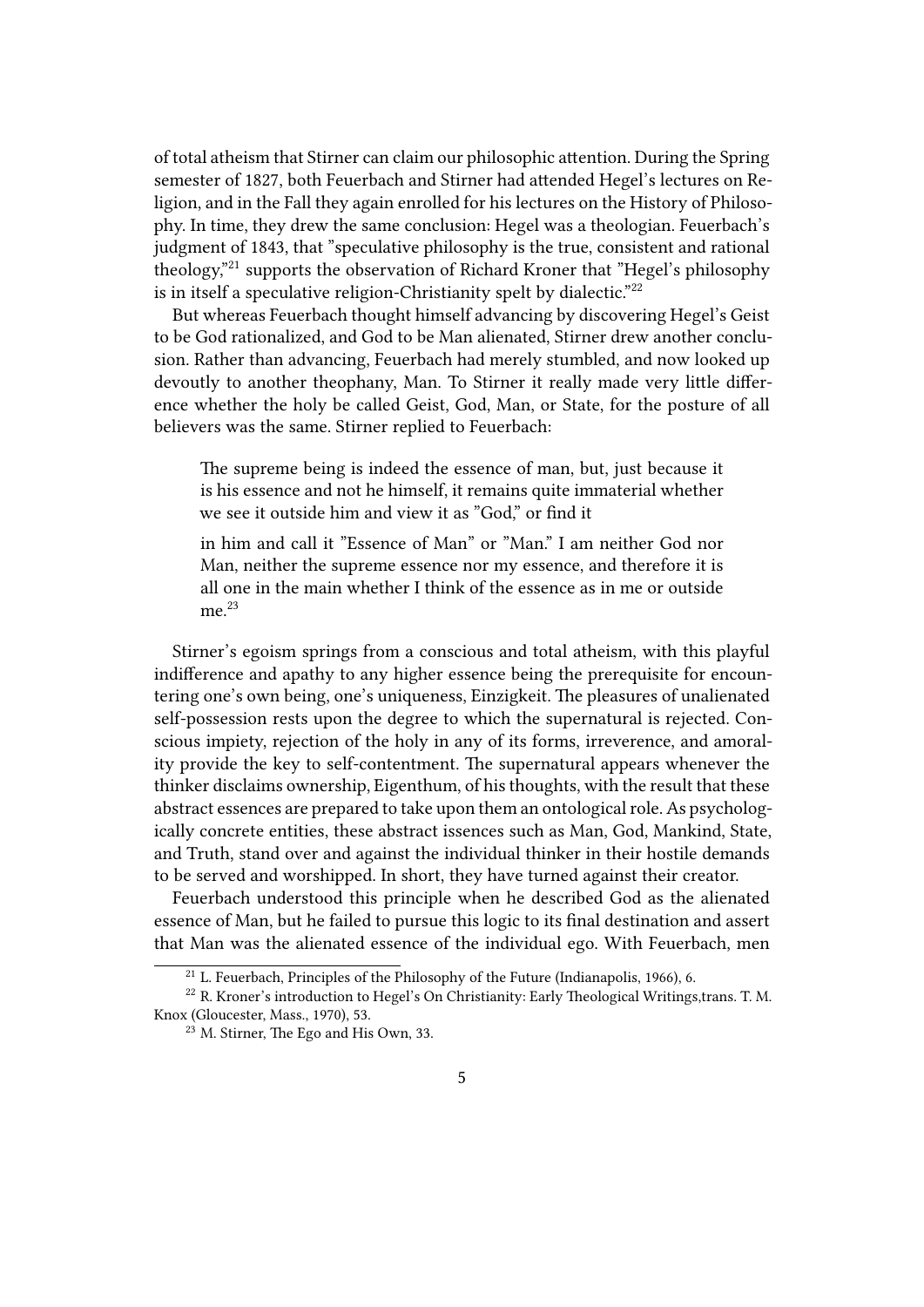of total atheism that Stirner can claim our philosophic attention. During the Spring semester of 1827, both Feuerbach and Stirner had attended Hegel's lectures on Religion, and in the Fall they again enrolled for his lectures on the History of Philosophy. In time, they drew the same conclusion: Hegel was a theologian. Feuerbach's judgment of 1843, that "speculative philosophy is the true, consistent and rational theology,"<sup>21</sup> supports the observation of Richard Kroner that "Hegel's philosophy is in itself a speculative religion-Christianity spelt by dialectic."<sup>22</sup>

But whereas Feuerbach thought himself advancing by discovering Hegel's Geist to be God rationalized, and God to be Man alienated, Stirner drew another conclusion. Rather than advancing, Feuerbach had merely stumbled, and now looked up devoutly to another theophany, Man. To Stirner it really made very little difference whether the holy be called Geist, God, Man, or State, for the posture of all believers was the same. Stirner replied to Feuerbach:

The supreme being is indeed the essence of man, but, just because it is his essence and not he himself, it remains quite immaterial whether we see it outside him and view it as "God," or find it

in him and call it "Essence of Man" or "Man." I am neither God nor Man, neither the supreme essence nor my essence, and therefore it is all one in the main whether I think of the essence as in me or outside me.<sup>23</sup>

Stirner's egoism springs from a conscious and total atheism, with this playful indifference and apathy to any higher essence being the prerequisite for encountering one's own being, one's uniqueness, Einzigkeit. The pleasures of unalienated self-possession rests upon the degree to which the supernatural is rejected. Conscious impiety, rejection of the holy in any of its forms, irreverence, and amorality provide the key to self-contentment. The supernatural appears whenever the thinker disclaims ownership, Eigenthum, of his thoughts, with the result that these abstract essences are prepared to take upon them an ontological role. As psychologically concrete entities, these abstract issences such as Man, God, Mankind, State, and Truth, stand over and against the individual thinker in their hostile demands to be served and worshipped. In short, they have turned against their creator.

Feuerbach understood this principle when he described God as the alienated essence of Man, but he failed to pursue this logic to its final destination and assert that Man was the alienated essence of the individual ego. With Feuerbach, men

 $^{21}$  L. Feuerbach, Principles of the Philosophy of the Future (Indianapolis, 1966), 6.

<sup>&</sup>lt;sup>22</sup> R. Kroner's introduction to Hegel's On Christianity: Early Theological Writings,trans. T. M. Knox (Gloucester, Mass., 1970), 53.

<sup>23</sup> M. Stirner, The Ego and His Own, 33.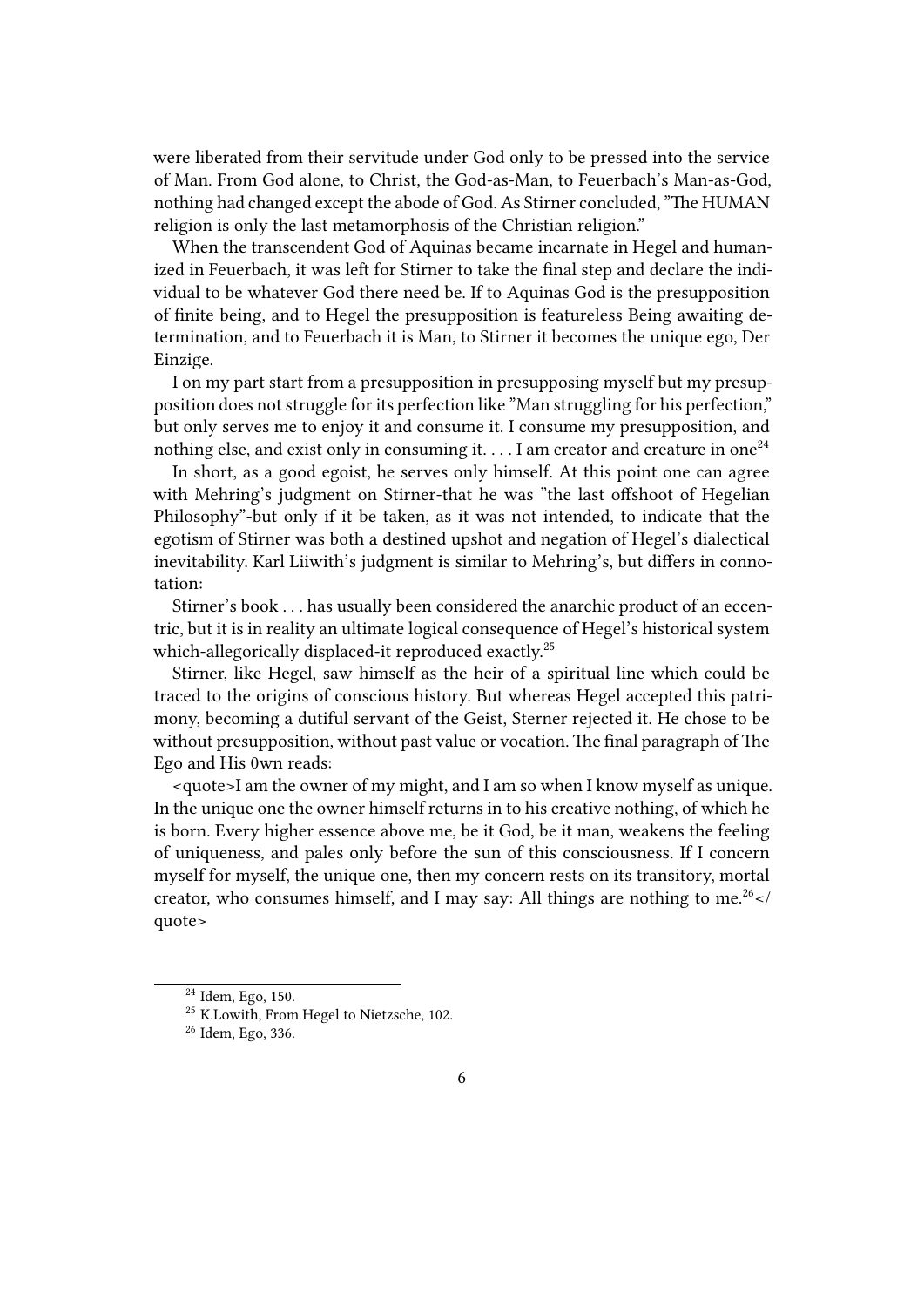were liberated from their servitude under God only to be pressed into the service of Man. From God alone, to Christ, the God-as-Man, to Feuerbach's Man-as-God, nothing had changed except the abode of God. As Stirner concluded, "The HUMAN religion is only the last metamorphosis of the Christian religion."

When the transcendent God of Aquinas became incarnate in Hegel and humanized in Feuerbach, it was left for Stirner to take the final step and declare the individual to be whatever God there need be. If to Aquinas God is the presupposition of finite being, and to Hegel the presupposition is featureless Being awaiting determination, and to Feuerbach it is Man, to Stirner it becomes the unique ego, Der Einzige.

I on my part start from a presupposition in presupposing myself but my presupposition does not struggle for its perfection like "Man struggling for his perfection," but only serves me to enjoy it and consume it. I consume my presupposition, and nothing else, and exist only in consuming it.  $\dots$  I am creator and creature in one<sup>24</sup>

In short, as a good egoist, he serves only himself. At this point one can agree with Mehring's judgment on Stirner-that he was "the last offshoot of Hegelian Philosophy"-but only if it be taken, as it was not intended, to indicate that the egotism of Stirner was both a destined upshot and negation of Hegel's dialectical inevitability. Karl Liiwith's judgment is similar to Mehring's, but differs in connotation:

Stirner's book . . . has usually been considered the anarchic product of an eccentric, but it is in reality an ultimate logical consequence of Hegel's historical system which-allegorically displaced-it reproduced exactly.<sup>25</sup>

Stirner, like Hegel, saw himself as the heir of a spiritual line which could be traced to the origins of conscious history. But whereas Hegel accepted this patrimony, becoming a dutiful servant of the Geist, Sterner rejected it. He chose to be without presupposition, without past value or vocation. The final paragraph of The Ego and His 0wn reads:

<quote>I am the owner of my might, and I am so when I know myself as unique. In the unique one the owner himself returns in to his creative nothing, of which he is born. Every higher essence above me, be it God, be it man, weakens the feeling of uniqueness, and pales only before the sun of this consciousness. If I concern myself for myself, the unique one, then my concern rests on its transitory, mortal creator, who consumes himself, and I may say: All things are nothing to me.<sup>26</sup> </ quote>

<sup>24</sup> Idem, Ego, 150.

<sup>&</sup>lt;sup>25</sup> K.Lowith, From Hegel to Nietzsche, 102.

<sup>26</sup> Idem, Ego, 336.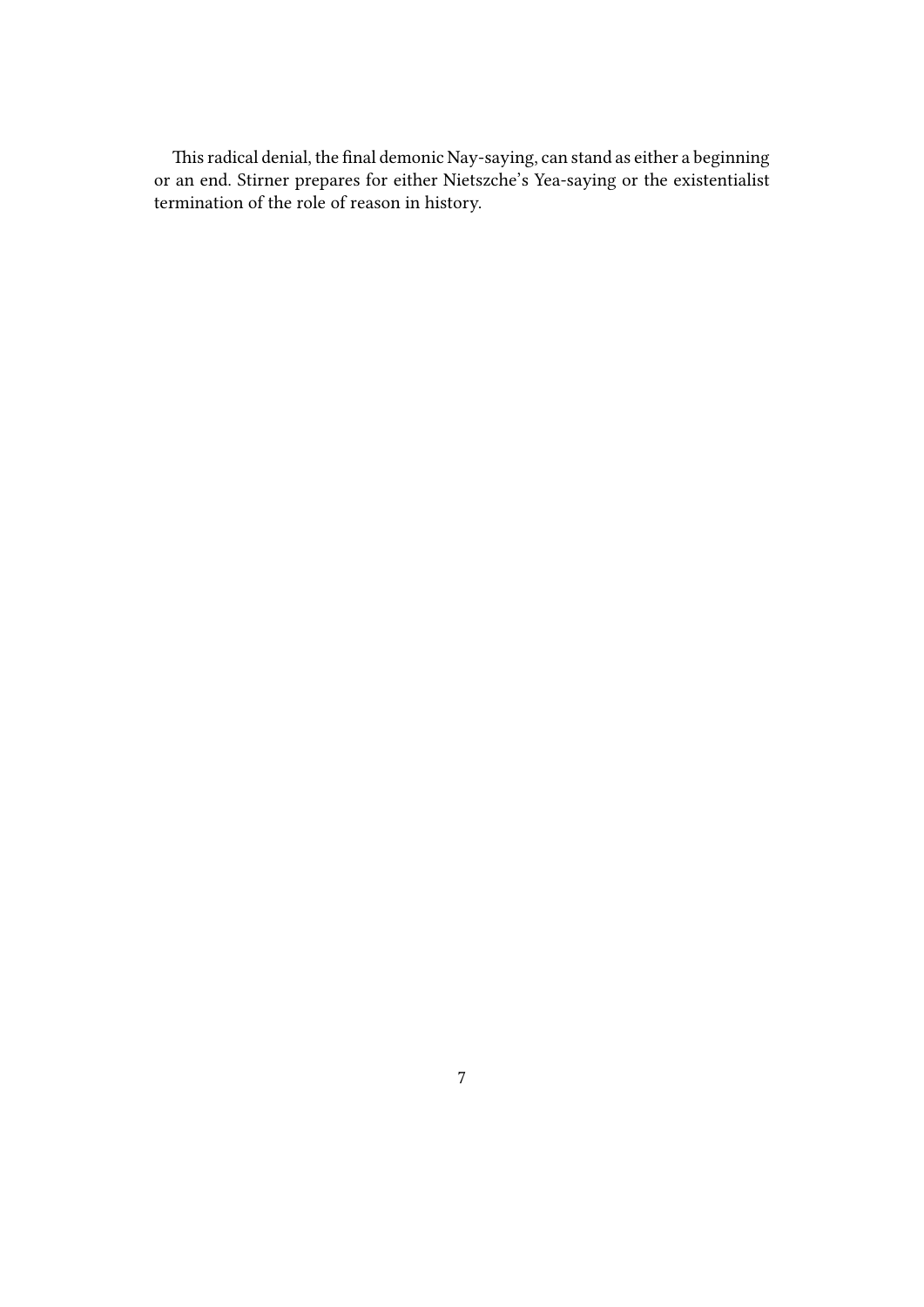This radical denial, the final demonic Nay-saying, can stand as either a beginning or an end. Stirner prepares for either Nietszche's Yea-saying or the existentialist termination of the role of reason in history.